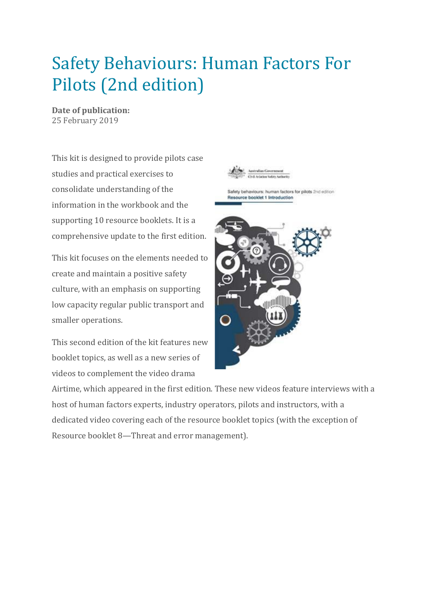## Safety Behaviours: Human Factors For Pilots (2nd edition)

**Date of publication:** 25 February 2019

This kit is designed to provide pilots case studies and practical exercises to consolidate understanding of the information in the workbook and the supporting 10 resource booklets. It is a comprehensive update to the first edition.

This kit focuses on the elements needed to create and maintain a positive safety culture, with an emphasis on supporting low capacity regular public transport and smaller operations.

This second edition of the kit features new booklet topics, as well as a new series of videos to complement the video drama



Airtime, which appeared in the first edition. These new videos feature interviews with a host of human factors experts, industry operators, pilots and instructors, with a dedicated video covering each of the resource booklet topics (with the exception of Resource booklet 8—Threat and error management).